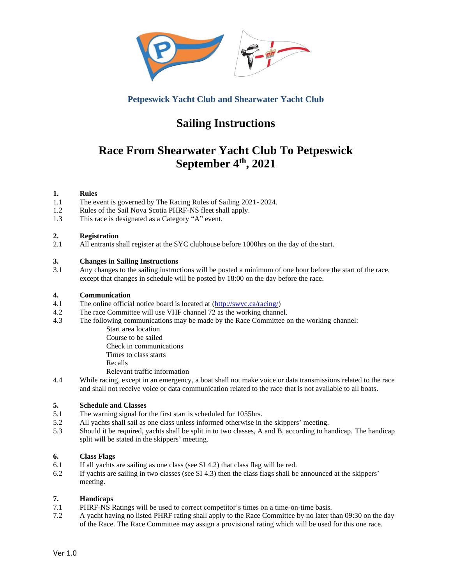

# **Petpeswick Yacht Club and Shearwater Yacht Club**

# **Sailing Instructions**

# **Race From Shearwater Yacht Club To Petpeswick September 4 th , 2021**

# **1. Rules**

- 1.1 The event is governed by The Racing Rules of Sailing 2021- 2024.
- 1.2 Rules of the Sail Nova Scotia PHRF-NS fleet shall apply.
- 1.3 This race is designated as a Category "A" event.

# **2. Registration**

2.1 All entrants shall register at the SYC clubhouse before 1000hrs on the day of the start.

# **3. Changes in Sailing Instructions**

3.1 Any changes to the sailing instructions will be posted a minimum of one hour before the start of the race, except that changes in schedule will be posted by 18:00 on the day before the race.

# **4. Communication**

- 4.1 The online official notice board is located at [\(http://swyc.ca/racing/\)](http://swyc.ca/racing/)
- 4.2 The race Committee will use VHF channel 72 as the working channel.
- 4.3 The following communications may be made by the Race Committee on the working channel:
	- Start area location Course to be sailed Check in communications Times to class starts Recalls
	- Relevant traffic information
- 4.4 While racing, except in an emergency, a boat shall not make voice or data transmissions related to the race and shall not receive voice or data communication related to the race that is not available to all boats.

# **5. Schedule and Classes**

- 5.1 The warning signal for the first start is scheduled for 1055hrs.
- 5.2 All yachts shall sail as one class unless informed otherwise in the skippers' meeting.
- 5.3 Should it be required, yachts shall be split in to two classes, A and B, according to handicap. The handicap split will be stated in the skippers' meeting.

# **6. Class Flags**

- 6.1 If all yachts are sailing as one class (see SI 4.2) that class flag will be red.
- 6.2 If yachts are sailing in two classes (see SI 4.3) then the class flags shall be announced at the skippers' meeting.

# **7. Handicaps**

- 7.1 PHRF-NS Ratings will be used to correct competitor's times on a time-on-time basis.
- 7.2 A yacht having no listed PHRF rating shall apply to the Race Committee by no later than 09:30 on the day of the Race. The Race Committee may assign a provisional rating which will be used for this one race.